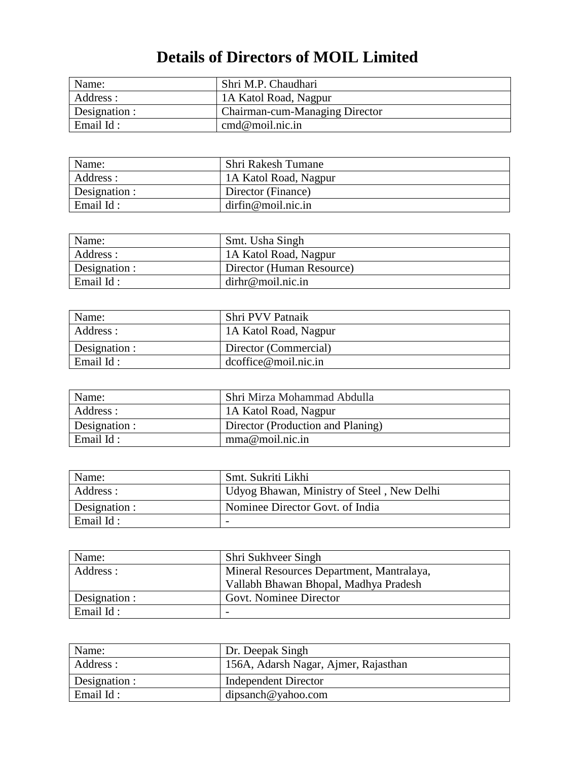## **Details of Directors of MOIL Limited**

| Name:         | Shri M.P. Chaudhari                   |
|---------------|---------------------------------------|
| Address :     | 1A Katol Road, Nagpur                 |
| Designation : | <b>Chairman-cum-Managing Director</b> |
| Email Id:     | cmd@mol.nic.in                        |

| Name:         | <b>Shri Rakesh Tumane</b> |
|---------------|---------------------------|
| Address :     | 1A Katol Road, Nagpur     |
| Designation : | Director (Finance)        |
| Email Id:     | dirfin@mol.nic.in         |

| Name:         | Smt. Usha Singh           |
|---------------|---------------------------|
| Address:      | 1A Katol Road, Nagpur     |
| Designation : | Director (Human Resource) |
| Email Id:     | $dirhr@$ moil.nic.in      |

| Name:             | Shri PVV Patnaik        |
|-------------------|-------------------------|
| Address :         | 1A Katol Road, Nagpur   |
| Designation :     | Director (Commercial)   |
| $\vert$ Email Id: | $dcoffice@$ moil.nic.in |

| Name:             | Shri Mirza Mohammad Abdulla       |
|-------------------|-----------------------------------|
| Address :         | 1A Katol Road, Nagpur             |
| Designation :     | Director (Production and Planing) |
| $\vert$ Email Id: | mma@mol.nic.in                    |

| Name:         | Smt. Sukriti Likhi                         |
|---------------|--------------------------------------------|
| Address :     | Udyog Bhawan, Ministry of Steel, New Delhi |
| Designation : | Nominee Director Govt. of India            |
| Email Id:     |                                            |

| Name:         | Shri Sukhveer Singh                       |
|---------------|-------------------------------------------|
| Address :     | Mineral Resources Department, Mantralaya, |
|               | Vallabh Bhawan Bhopal, Madhya Pradesh     |
| Designation : | Govt. Nominee Director                    |
| Email Id:     |                                           |

| Name:         | Dr. Deepak Singh                     |
|---------------|--------------------------------------|
| Address :     | 156A, Adarsh Nagar, Ajmer, Rajasthan |
| Designation : | <b>Independent Director</b>          |
| Email Id:     | dipsanch@yahoo.com                   |